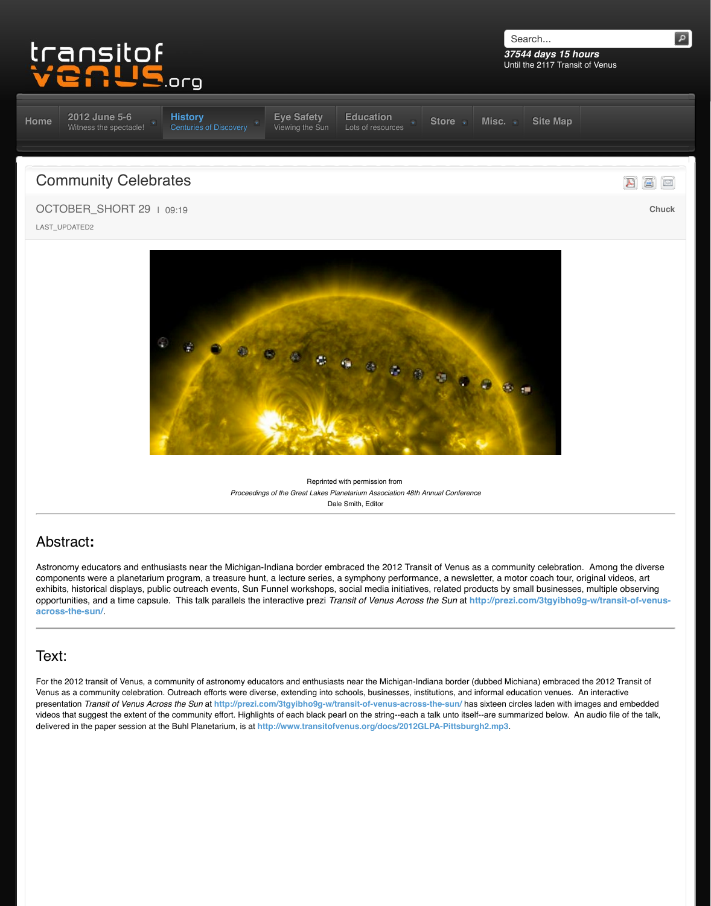

Reprinte[d with permission from](http://www.transitofvenus.org/education)  **[Proceeding](http://www.transitofvenus.org/history)[s of the Great Lakes Pla](http://www.transitofvenus.org/june2012/eye-safety)netarium Association 48th** *A* Dale Smith, Editor

# Abstract**:**

Astronomy educators and enthusiasts near the Michigan-Indiana border embraced the 2012 Trans components were a planetarium program, a treasure hunt, a lecture series, a symphony performa exhibits, historical displays, public outreach events, Sun Funnel workshops, social media initiative opportunities, and a time capsule. This talk parallels the interactive prezi *Transit of Venus Across* **across-the-sun/**.

## Text:

For the 2012 transit of Venus, a community of astronomy educators and enthusiasts near the Michigan-Ind Venus as a community celebration. Outreach efforts were diverse, extending into schools, businesses, ins presentation *Transit of Venus Across the Sun* at http://prezi.com/3tgyibho9g-w/transit-of-venus-across videos that suggest the extent of the community effort. Highlights of each black pearl on the string--each a delivered in the paper session at the Buhl Planetarium, is at http://www.transitofvenus.org/docs/2012G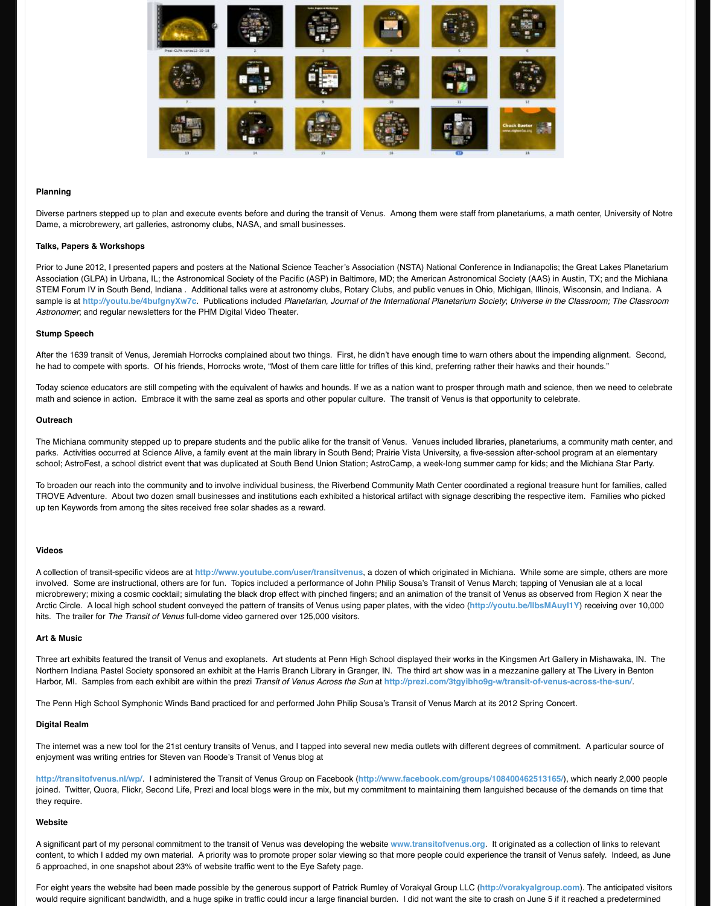After the 1639 transit of Venus, Jeremiah Horrocks complained about two things. First, he didn't have enough time to warn others about the impending alignment. Second, he had to compete with sports. Of his friends, Horrocks wrote, "Most of them care little for trifles of this kin

Today science educators are still competing with the equivalent of hawks and hounds. If we as a nation wath and science math and science in action. Embrace it with the same zeal as sports and other popular culture. The trans

#### **Outreach**

The Michiana community stepped up to prepare students and the public alike for the transit of Venus. Ver parks. Activities occurred at Science Alive, a family event at the main library in South Bend; Prairie Vista I school; AstroFest, a school district event that was duplicated at South Bend Union Station; AstroCamp, a

To broaden our reach into the community and to involve individual business, the Riverbend Community Math Center TROVE Adventure. About two dozen small businesses and institutions each exhibited a historical artifact up ten Keywords from among the sites received free solar shades as a reward.

#### **Videos**

A collection of transit-specific videos are at http://www.youtube.com/user/transitvenus, a dozen of which involved. Some are instructional, others are for fun. Topics included a performance of John Philip Sousa' microbrewery; mixing a cosmic cocktail; simulating the black drop effect with pinched fingers; and an animation of the transit of the transit of the transit of the transit of the transit of the transition  $m$  near the the Arctic Circle. A local high school student conveyed the pattern of transits of Venus using paper plates, with hits. The trailer for *The Transit of Venus* full-dome video garnered over 125,000 visitors.

#### **Art & Music**

Three art ex[hibits featured the transit of Ven](http://youtu.be/4bufgnyXw7c)us and exoplanets. Art students at Penn High School display Northern Indiana Pastel Society sponsored an exhibit at the Harris Branch Library in Granger, IN. The third art show was in a metallery at the metallery at The third at The third at The third at The Livery at The Livery in Harbor, MI. Samples from each exhibit are within the prezi *Transit of Venus Across the Sun* at http://prez

The Penn High School Symphonic Winds Band practiced for and performed John Philip Sousa's Transit o

#### **Digital Realm**

The internet was a new tool for the 21st century transits of Venus, and I tapped into several new media outlet enjoyment was writing entries for Steven van Roode's Transit of Venus blog at

http://transitofvenus.nl/wp/ I administered the Transit of Venus Group on Facebook (http://www.faceb joined. Twitter, Quora, Flickr, Second Life, Prezi and local blogs were in the mix, but my commitment to m they require.

#### **Website**

A significant part of my personal commitment to the transit of Venus was developing the website www.trans content, to which I added my own material. A priority was to promote proper solar viewing so that more people 5 approached, in one snapshot about 23% of website traffic went to the Eye Safety page.

For eight years the website had been made possible by the generous support of Patrick Rumley of Voraky would require significant bandwidth, and a huge spike in traffic could incur a large financial burden. I did r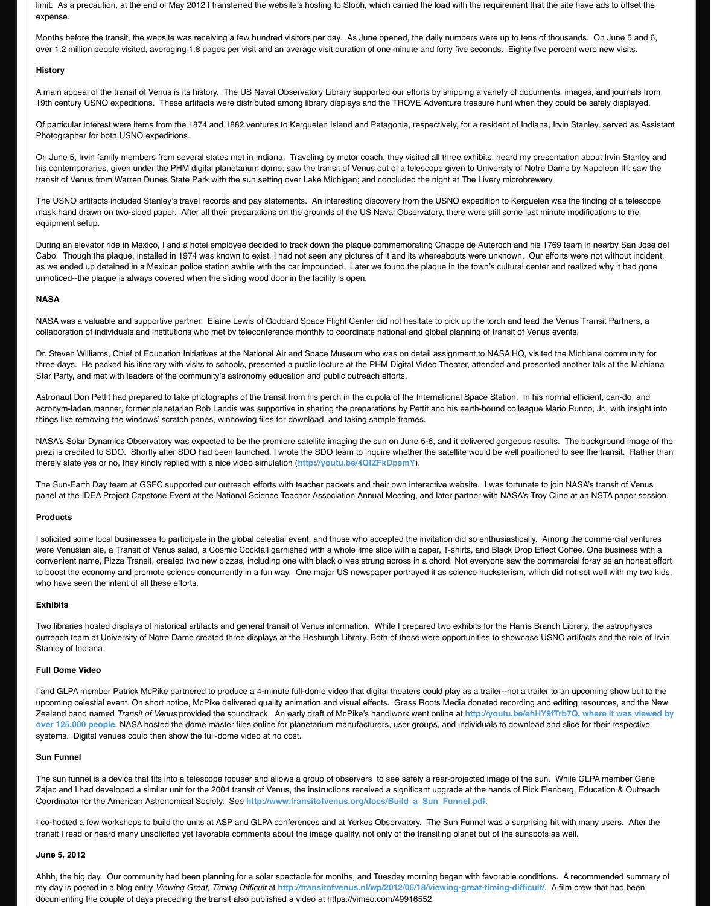Dr. Steven Williams, Chief of Education Initiatives at the National Air and Space Museum who was on detail assignment to NASA HQ, visited the Michiana community for three days. He packed his itinerary with visits to schools, presented a public lecture at the PHM Digital Vid Star Party, and met with leaders of the community's astronomy education and public outreach efforts.

Astronaut Don Pettit had prepared to take photographs of the transit from his perch in the cupola of the International Space Stational Space Station. In the cupola of the Internation. In the superficient, canacronym-laden manner, former planetarian Rob Landis was supportive in sharing the preparations by Pett things like removing the windows' scratch panes, winnowing files for download, and taking sample frames.

NASA's Solar Dynamics Observatory was expected to be the premiere satellite imaging the sun on June 5 prezi is credited to SDO. Shortly after SDO had been launched, I wrote the SDO team to inquire whether merely state yes or no, they kindly replied with a nice video simulation (**http://youtu.be/4QtZFkDpemY**).

The Sun-Earth Day team at GSFC supported our outreach efforts with teacher packets and their own inter panel at the IDEA Project Capstone Event at the National Science Teacher Association Annual Meeting, a

#### **Products**

I solicited some local businesses to participate in the global celestial event, and those who accepted the in were Venusian ale, a Transit of Venus salad, a Cosmic Cocktail garnished with a whole lime slice with a ca convenient name, Pizza Transit, created two new pizzas, including one with black olives strung across in a to boost the economy and promote science concurrently in a fun way. One major US newspaper portraye who have seen the intent of all these efforts.

#### **Exhibits**

Two libraries hosted displays of historical artifacts and general transit of Venus information. While I prepa outreach team at University of Notre Dame created three displays at the Hesburgh Library. Both of these vertunities Stanley of Indiana.

#### **Full Dome Video**

I and GLPA member Patrick McPike partnered to produce a 4-minute full-dome video that digital theaters of upcoming celestial event. On short notice, McPike delivered quality animation and visual effects. Grass R Zealand band named *Transit of Venus* provided the soundtrack. An early draft of McPike's handiwork were **over 125,000 people.** NASA hosted the dome master files online for planetarium manufacturers, user gro systems. Digital venues could then show the full-dome video at no cost.

#### **Sun Funnel**

The sun funnel is a device that fits into a telescope focuser and allows a group of observers to see safely Zajac and I had developed a similar unit for the 2004 transit of Venus, the instructions received a significal Coordinator for the American Astronomical Society. See http://www.transitofvenus.org/docs/Build\_a\_Sunnel.com

I co-hosted a few workshops to build the units at ASP and GLPA confe[rences and at Yerkes Observator](http://youtu.be/4QtZFkDpemY)y. transit I read or heard many unsolicited yet favorable comments about the image quality, not only of the transition

#### **June 5, 2012**

Ahhh, the big day. Our community had been planning for a solar spectacle for months, and Tuesday morre my day is posted in a blog entry Viewing Great, Timing Difficult at http://transitofvenus.nl/wp/2012/06/18 documenting the couple of days preceding the transit also published a video at https://vimeo.com/499165.